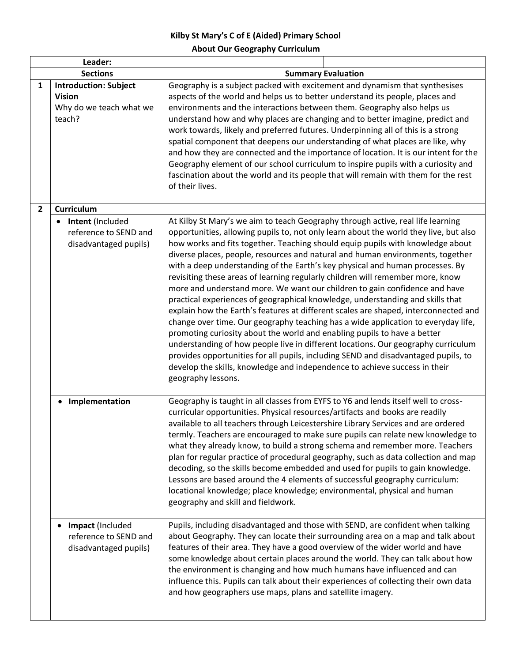## **Kilby St Mary's C of E (Aided) Primary School About Our Geography Curriculum**

| Leader:        |                                                                                    |                                                                                                                                                                                                                                                                                                                                                                                                                                                                                                                                                                                                                                                                                                                                                                                                                                                                                                                                                                                                                                                                                                                                                                                                                        |
|----------------|------------------------------------------------------------------------------------|------------------------------------------------------------------------------------------------------------------------------------------------------------------------------------------------------------------------------------------------------------------------------------------------------------------------------------------------------------------------------------------------------------------------------------------------------------------------------------------------------------------------------------------------------------------------------------------------------------------------------------------------------------------------------------------------------------------------------------------------------------------------------------------------------------------------------------------------------------------------------------------------------------------------------------------------------------------------------------------------------------------------------------------------------------------------------------------------------------------------------------------------------------------------------------------------------------------------|
|                | <b>Sections</b>                                                                    | <b>Summary Evaluation</b>                                                                                                                                                                                                                                                                                                                                                                                                                                                                                                                                                                                                                                                                                                                                                                                                                                                                                                                                                                                                                                                                                                                                                                                              |
| 1              | <b>Introduction: Subject</b><br><b>Vision</b><br>Why do we teach what we<br>teach? | Geography is a subject packed with excitement and dynamism that synthesises<br>aspects of the world and helps us to better understand its people, places and<br>environments and the interactions between them. Geography also helps us<br>understand how and why places are changing and to better imagine, predict and<br>work towards, likely and preferred futures. Underpinning all of this is a strong<br>spatial component that deepens our understanding of what places are like, why<br>and how they are connected and the importance of location. It is our intent for the<br>Geography element of our school curriculum to inspire pupils with a curiosity and<br>fascination about the world and its people that will remain with them for the rest<br>of their lives.                                                                                                                                                                                                                                                                                                                                                                                                                                     |
| $\overline{2}$ | Curriculum                                                                         |                                                                                                                                                                                                                                                                                                                                                                                                                                                                                                                                                                                                                                                                                                                                                                                                                                                                                                                                                                                                                                                                                                                                                                                                                        |
|                | • Intent (Included<br>reference to SEND and<br>disadvantaged pupils)               | At Kilby St Mary's we aim to teach Geography through active, real life learning<br>opportunities, allowing pupils to, not only learn about the world they live, but also<br>how works and fits together. Teaching should equip pupils with knowledge about<br>diverse places, people, resources and natural and human environments, together<br>with a deep understanding of the Earth's key physical and human processes. By<br>revisiting these areas of learning regularly children will remember more, know<br>more and understand more. We want our children to gain confidence and have<br>practical experiences of geographical knowledge, understanding and skills that<br>explain how the Earth's features at different scales are shaped, interconnected and<br>change over time. Our geography teaching has a wide application to everyday life,<br>promoting curiosity about the world and enabling pupils to have a better<br>understanding of how people live in different locations. Our geography curriculum<br>provides opportunities for all pupils, including SEND and disadvantaged pupils, to<br>develop the skills, knowledge and independence to achieve success in their<br>geography lessons. |
|                | Implementation                                                                     | Geography is taught in all classes from EYFS to Y6 and lends itself well to cross-<br>curricular opportunities. Physical resources/artifacts and books are readily<br>available to all teachers through Leicestershire Library Services and are ordered<br>termly. Teachers are encouraged to make sure pupils can relate new knowledge to<br>what they already know, to build a strong schema and remember more. Teachers<br>plan for regular practice of procedural geography, such as data collection and map<br>decoding, so the skills become embedded and used for pupils to gain knowledge.<br>Lessons are based around the 4 elements of successful geography curriculum:<br>locational knowledge; place knowledge; environmental, physical and human<br>geography and skill and fieldwork.                                                                                                                                                                                                                                                                                                                                                                                                                    |
|                | Impact (Included<br>reference to SEND and<br>disadvantaged pupils)                 | Pupils, including disadvantaged and those with SEND, are confident when talking<br>about Geography. They can locate their surrounding area on a map and talk about<br>features of their area. They have a good overview of the wider world and have<br>some knowledge about certain places around the world. They can talk about how<br>the environment is changing and how much humans have influenced and can<br>influence this. Pupils can talk about their experiences of collecting their own data<br>and how geographers use maps, plans and satellite imagery.                                                                                                                                                                                                                                                                                                                                                                                                                                                                                                                                                                                                                                                  |

Π